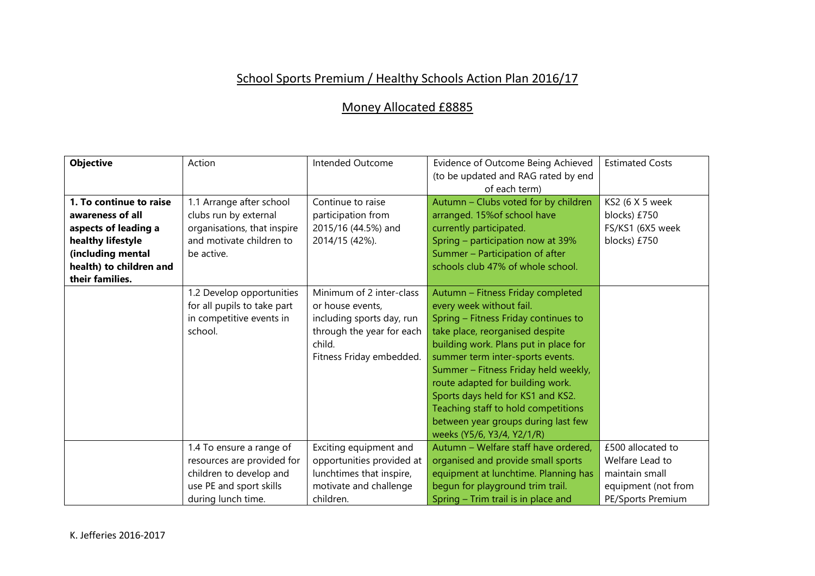## School Sports Premium / Healthy Schools Action Plan 2016/17

## Money Allocated £8885

| <b>Objective</b>        | Action                                                                                          | Intended Outcome                                                                                                                             | Evidence of Outcome Being Achieved<br>(to be updated and RAG rated by end                                                                                                                                                                                                                                                                                                                                                                          | <b>Estimated Costs</b>               |
|-------------------------|-------------------------------------------------------------------------------------------------|----------------------------------------------------------------------------------------------------------------------------------------------|----------------------------------------------------------------------------------------------------------------------------------------------------------------------------------------------------------------------------------------------------------------------------------------------------------------------------------------------------------------------------------------------------------------------------------------------------|--------------------------------------|
|                         |                                                                                                 |                                                                                                                                              | of each term)                                                                                                                                                                                                                                                                                                                                                                                                                                      |                                      |
| 1. To continue to raise | 1.1 Arrange after school                                                                        | Continue to raise                                                                                                                            | Autumn - Clubs voted for by children                                                                                                                                                                                                                                                                                                                                                                                                               | KS2 (6 X 5 week                      |
| awareness of all        | clubs run by external                                                                           | participation from                                                                                                                           | arranged. 15% of school have                                                                                                                                                                                                                                                                                                                                                                                                                       | blocks) £750                         |
| aspects of leading a    | organisations, that inspire                                                                     | 2015/16 (44.5%) and                                                                                                                          | currently participated.                                                                                                                                                                                                                                                                                                                                                                                                                            | FS/KS1 (6X5 week                     |
| healthy lifestyle       | and motivate children to                                                                        | 2014/15 (42%).                                                                                                                               | Spring - participation now at 39%                                                                                                                                                                                                                                                                                                                                                                                                                  | blocks) £750                         |
| (including mental       | be active.                                                                                      |                                                                                                                                              | Summer - Participation of after                                                                                                                                                                                                                                                                                                                                                                                                                    |                                      |
| health) to children and |                                                                                                 |                                                                                                                                              | schools club 47% of whole school.                                                                                                                                                                                                                                                                                                                                                                                                                  |                                      |
| their families.         |                                                                                                 |                                                                                                                                              |                                                                                                                                                                                                                                                                                                                                                                                                                                                    |                                      |
|                         | 1.2 Develop opportunities<br>for all pupils to take part<br>in competitive events in<br>school. | Minimum of 2 inter-class<br>or house events,<br>including sports day, run<br>through the year for each<br>child.<br>Fitness Friday embedded. | Autumn - Fitness Friday completed<br>every week without fail.<br>Spring - Fitness Friday continues to<br>take place, reorganised despite<br>building work. Plans put in place for<br>summer term inter-sports events.<br>Summer - Fitness Friday held weekly,<br>route adapted for building work.<br>Sports days held for KS1 and KS2.<br>Teaching staff to hold competitions<br>between year groups during last few<br>weeks (Y5/6, Y3/4, Y2/1/R) |                                      |
|                         | 1.4 To ensure a range of<br>resources are provided for                                          | Exciting equipment and<br>opportunities provided at                                                                                          | Autumn - Welfare staff have ordered,<br>organised and provide small sports                                                                                                                                                                                                                                                                                                                                                                         | £500 allocated to<br>Welfare Lead to |
|                         |                                                                                                 |                                                                                                                                              |                                                                                                                                                                                                                                                                                                                                                                                                                                                    |                                      |
|                         | children to develop and                                                                         | lunchtimes that inspire,                                                                                                                     | equipment at lunchtime. Planning has                                                                                                                                                                                                                                                                                                                                                                                                               | maintain small                       |
|                         | use PE and sport skills                                                                         | motivate and challenge                                                                                                                       | begun for playground trim trail.                                                                                                                                                                                                                                                                                                                                                                                                                   | equipment (not from                  |
|                         | during lunch time.                                                                              | children.                                                                                                                                    | Spring – Trim trail is in place and                                                                                                                                                                                                                                                                                                                                                                                                                | PE/Sports Premium                    |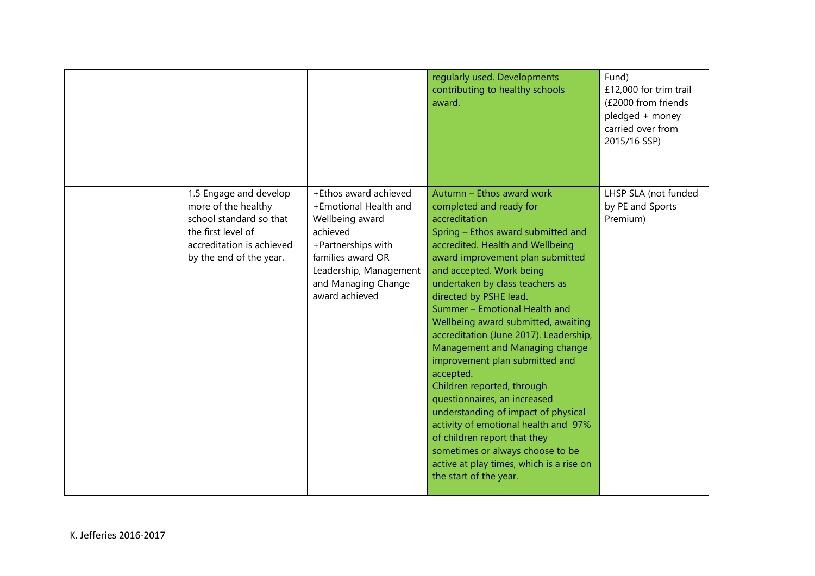|                                                                                                                                                        |                                                                                                                                                                                             | regularly used. Developments<br>contributing to healthy schools<br>award.                                                                                                                                                                                                                                                                                                                                                                                                                                                                                                                                                                                                                                                                                              | Fund)<br>£12,000 for trim trail<br>(£2000 from friends<br>pledged + money<br>carried over from<br>2015/16 SSP) |
|--------------------------------------------------------------------------------------------------------------------------------------------------------|---------------------------------------------------------------------------------------------------------------------------------------------------------------------------------------------|------------------------------------------------------------------------------------------------------------------------------------------------------------------------------------------------------------------------------------------------------------------------------------------------------------------------------------------------------------------------------------------------------------------------------------------------------------------------------------------------------------------------------------------------------------------------------------------------------------------------------------------------------------------------------------------------------------------------------------------------------------------------|----------------------------------------------------------------------------------------------------------------|
| 1.5 Engage and develop<br>more of the healthy<br>school standard so that<br>the first level of<br>accreditation is achieved<br>by the end of the year. | +Ethos award achieved<br>+Emotional Health and<br>Wellbeing award<br>achieved<br>+Partnerships with<br>families award OR<br>Leadership, Management<br>and Managing Change<br>award achieved | Autumn – Ethos award work<br>completed and ready for<br>accreditation<br>Spring - Ethos award submitted and<br>accredited. Health and Wellbeing<br>award improvement plan submitted<br>and accepted. Work being<br>undertaken by class teachers as<br>directed by PSHE lead.<br>Summer - Emotional Health and<br>Wellbeing award submitted, awaiting<br>accreditation (June 2017). Leadership,<br>Management and Managing change<br>improvement plan submitted and<br>accepted.<br>Children reported, through<br>questionnaires, an increased<br>understanding of impact of physical<br>activity of emotional health and 97%<br>of children report that they<br>sometimes or always choose to be<br>active at play times, which is a rise on<br>the start of the year. | LHSP SLA (not funded<br>by PE and Sports<br>Premium)                                                           |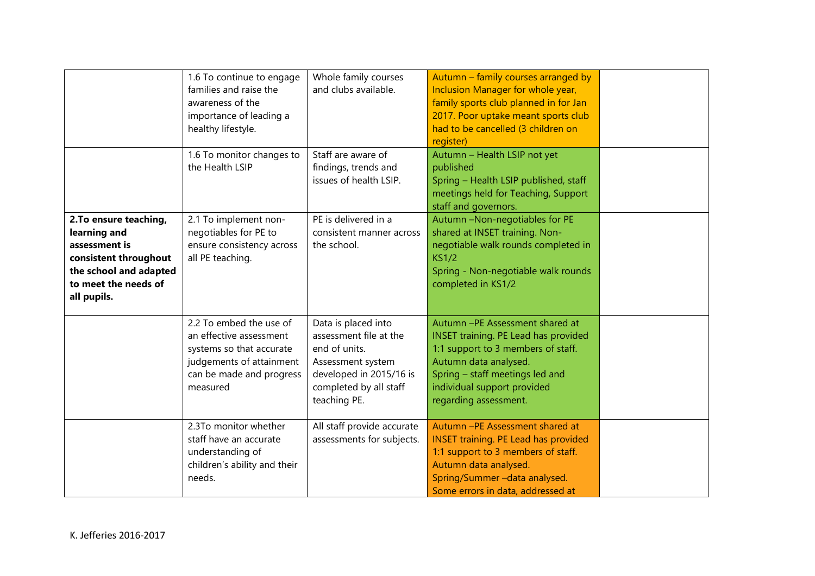|                                                                                                                                                   | 1.6 To continue to engage<br>families and raise the<br>awareness of the<br>importance of leading a<br>healthy lifestyle.<br>1.6 To monitor changes to | Whole family courses<br>and clubs available.<br>Staff are aware of                                                                                       | Autumn - family courses arranged by<br>Inclusion Manager for whole year,<br>family sports club planned in for Jan<br>2017. Poor uptake meant sports club<br>had to be cancelled (3 children on<br>register)<br>Autumn - Health LSIP not yet |  |
|---------------------------------------------------------------------------------------------------------------------------------------------------|-------------------------------------------------------------------------------------------------------------------------------------------------------|----------------------------------------------------------------------------------------------------------------------------------------------------------|---------------------------------------------------------------------------------------------------------------------------------------------------------------------------------------------------------------------------------------------|--|
|                                                                                                                                                   | the Health LSIP                                                                                                                                       | findings, trends and<br>issues of health LSIP.                                                                                                           | published<br>Spring - Health LSIP published, staff<br>meetings held for Teaching, Support<br>staff and governors.                                                                                                                           |  |
| 2. To ensure teaching,<br>learning and<br>assessment is<br>consistent throughout<br>the school and adapted<br>to meet the needs of<br>all pupils. | 2.1 To implement non-<br>negotiables for PE to<br>ensure consistency across<br>all PE teaching.                                                       | PE is delivered in a<br>consistent manner across<br>the school.                                                                                          | Autumn -Non-negotiables for PE<br>shared at INSET training. Non-<br>negotiable walk rounds completed in<br><b>KS1/2</b><br>Spring - Non-negotiable walk rounds<br>completed in KS1/2                                                        |  |
|                                                                                                                                                   | 2.2 To embed the use of<br>an effective assessment<br>systems so that accurate<br>judgements of attainment<br>can be made and progress<br>measured    | Data is placed into<br>assessment file at the<br>end of units.<br>Assessment system<br>developed in 2015/16 is<br>completed by all staff<br>teaching PE. | Autumn - PE Assessment shared at<br><b>INSET training. PE Lead has provided</b><br>1:1 support to 3 members of staff.<br>Autumn data analysed.<br>Spring - staff meetings led and<br>individual support provided<br>regarding assessment.   |  |
|                                                                                                                                                   | 2.3To monitor whether<br>staff have an accurate<br>understanding of<br>children's ability and their<br>needs.                                         | All staff provide accurate<br>assessments for subjects.                                                                                                  | Autumn -PE Assessment shared at<br><b>INSET training. PE Lead has provided</b><br>1:1 support to 3 members of staff.<br>Autumn data analysed.<br>Spring/Summer-data analysed.<br>Some errors in data, addressed at                          |  |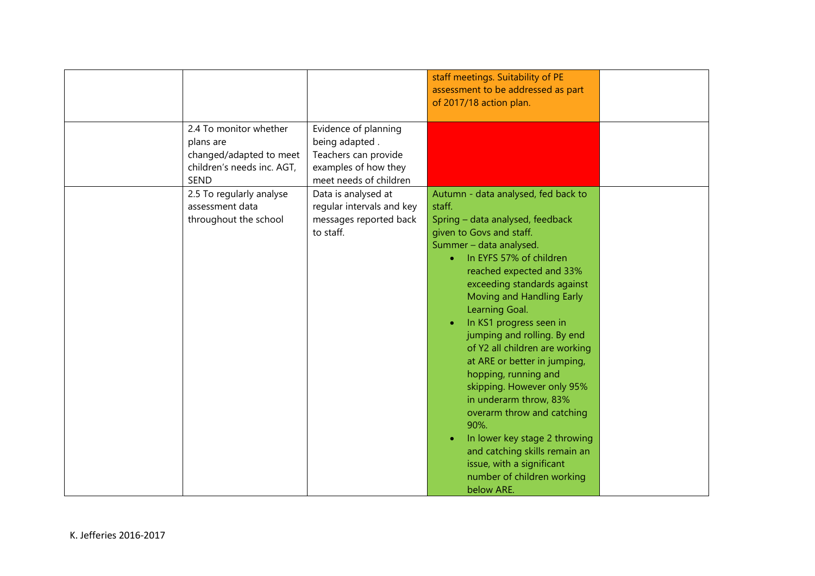|                                                                                                             |                                                                                                                  | staff meetings. Suitability of PE<br>assessment to be addressed as part<br>of 2017/18 action plan.                                                                                                                                                                                                                                                                                                                                                                                                                                                                                                                                                                         |  |
|-------------------------------------------------------------------------------------------------------------|------------------------------------------------------------------------------------------------------------------|----------------------------------------------------------------------------------------------------------------------------------------------------------------------------------------------------------------------------------------------------------------------------------------------------------------------------------------------------------------------------------------------------------------------------------------------------------------------------------------------------------------------------------------------------------------------------------------------------------------------------------------------------------------------------|--|
| 2.4 To monitor whether<br>plans are<br>changed/adapted to meet<br>children's needs inc. AGT,<br><b>SEND</b> | Evidence of planning<br>being adapted.<br>Teachers can provide<br>examples of how they<br>meet needs of children |                                                                                                                                                                                                                                                                                                                                                                                                                                                                                                                                                                                                                                                                            |  |
| 2.5 To regularly analyse<br>assessment data<br>throughout the school                                        | Data is analysed at<br>regular intervals and key<br>messages reported back<br>to staff.                          | Autumn - data analysed, fed back to<br>staff.<br>Spring - data analysed, feedback<br>given to Govs and staff.<br>Summer - data analysed.<br>In EYFS 57% of children<br>reached expected and 33%<br>exceeding standards against<br>Moving and Handling Early<br>Learning Goal.<br>In KS1 progress seen in<br>jumping and rolling. By end<br>of Y2 all children are working<br>at ARE or better in jumping,<br>hopping, running and<br>skipping. However only 95%<br>in underarm throw, 83%<br>overarm throw and catching<br>90%.<br>In lower key stage 2 throwing<br>and catching skills remain an<br>issue, with a significant<br>number of children working<br>below ARE. |  |